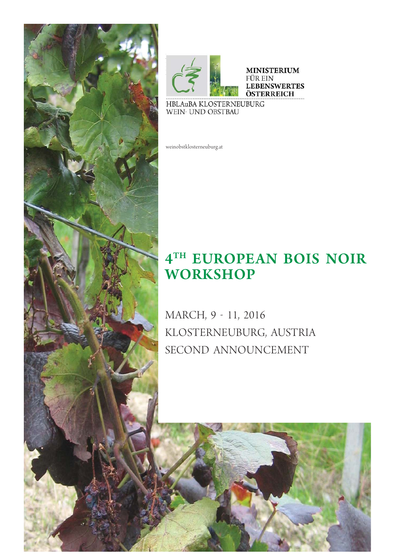



weinobstklosterneuburg.at

# **4<sup>TH</sup> EUROPEAN BOIS NOIR WORKSHOP**

MARCH, 9 - 11, 2016<br>KLOSTERNEUBURG, AUSTRIA SECOND ANNOUNCEMENT SECOND ANNOUNCEMENT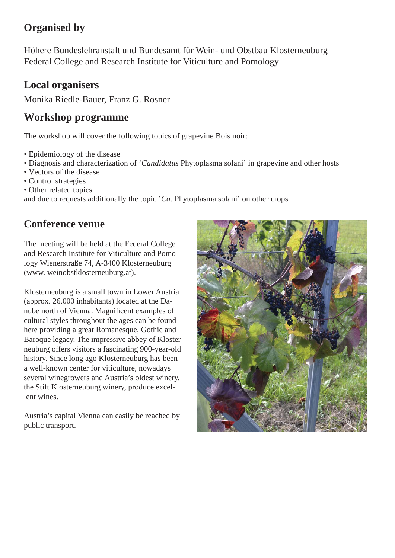## **Organised by**

Höhere Bundeslehranstalt und Bundesamt für Wein- und Obstbau Klosterneuburg Federal College and Research Institute for Viticulture and Pomology

## **Local organisers**

Monika Riedle-Bauer, Franz G. Rosner

## **Workshop programme**

The workshop will cover the following topics of grapevine Bois noir:

- Epidemiology of the disease
- Diagnosis and characterization of '*Candidatus* Phytoplasma solani' in grapevine and other hosts
- Vectors of the disease
- Control strategies
- Other related topics

and due to requests additionally the topic '*Ca.* Phytoplasma solani' on other crops

## **Conference venue**

The meeting will be held at the Federal College and Research Institute for Viticulture and Pomology Wienerstraße 74, A-3400 Klosterneuburg (www. weinobstklosterneuburg.at).

Klosterneuburg is a small town in Lower Austria (approx. 26.000 inhabitants) located at the Danube north of Vienna. Magnificent examples of cultural styles throughout the ages can be found here providing a great Romanesque, Gothic and Baroque legacy. The impressive abbey of Klosterneuburg offers visitors a fascinating 900-year-old history. Since long ago Klosterneuburg has been a well-known center for viticulture, nowadays several winegrowers and Austria's oldest winery, the Stift Klosterneuburg winery, produce excellent wines.

Austria's capital Vienna can easily be reached by public transport.

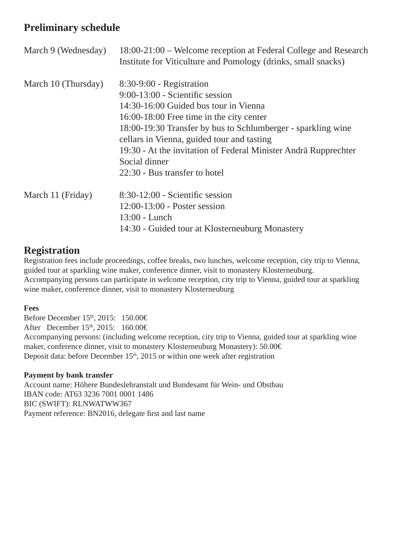## **Preliminary schedule**

| March 9 (Wednesday) | 18:00-21:00 – Welcome reception at Federal College and Research<br>Institute for Viticulture and Pomology (drinks, small snacks) |
|---------------------|----------------------------------------------------------------------------------------------------------------------------------|
| March 10 (Thursday) | $8:30-9:00$ - Registration                                                                                                       |
|                     | $9:00-13:00$ - Scientific session                                                                                                |
|                     | 14:30-16:00 Guided bus tour in Vienna                                                                                            |
|                     | 16:00-18:00 Free time in the city center                                                                                         |
|                     | 18:00-19:30 Transfer by bus to Schlumberger - sparkling wine                                                                     |
|                     | cellars in Vienna, guided tour and tasting                                                                                       |
|                     | 19:30 - At the invitation of Federal Minister Andrä Rupprechter                                                                  |
|                     | Social dinner                                                                                                                    |
|                     | 22:30 - Bus transfer to hotel                                                                                                    |
| March 11 (Friday)   | $8:30-12:00$ - Scientific session                                                                                                |
|                     | $12:00-13:00$ - Poster session                                                                                                   |
|                     | 13:00 - Lunch                                                                                                                    |
|                     | 14:30 - Guided tour at Klosterneuburg Monastery                                                                                  |

## **Registration**

Registration fees include proceedings, coffee breaks, two lunches, welcome reception, city trip to Vienna, guided tour at sparkling wine maker, conference dinner, visit to monastery Klosterneuburg. Accompanying persons can participate in welcome reception, city trip to Vienna, guided tour at sparkling wine maker, conference dinner, visit to monastery Klosterneuburg

#### **Fees**

Before December 15<sup>th</sup>, 2015: 150.00€ After December 15<sup>th</sup>, 2015: 160.00€ Accompanying persons: (including welcome reception, city trip to Vienna, guided tour at sparkling wine maker, conference dinner, visit to monastery Klosterneuburg Monastery): 50.00€ Deposit data: before December  $15<sup>th</sup>$ , 2015 or within one week after registration

#### **Payment by bank transfer**

Account name: Höhere Bundeslehranstalt und Bundesamt für Wein- und Obstbau IBAN code: AT63 3236 7001 0001 1486 BIC (SWIFT): RLNWATWW367 Payment reference: BN2016, delegate first and last name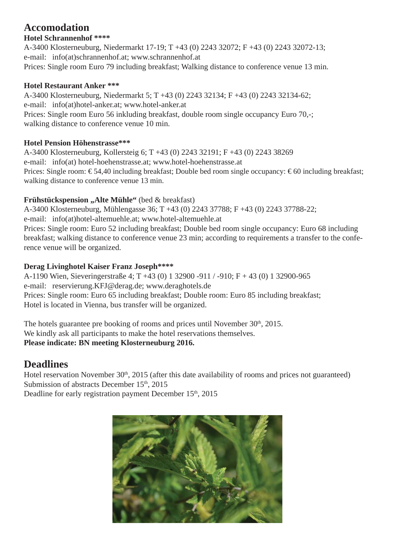## **Accomodation**

### **Hotel Schrannenhof \*\*\*\***

A-3400 Klosterneuburg, Niedermarkt 17-19; T +43 (0) 2243 32072; F +43 (0) 2243 32072-13; e-mail: info(at)schrannenhof.at; www.schrannenhof.at Prices: Single room Euro 79 including breakfast; Walking distance to conference venue 13 min.

### **Hotel Restaurant Anker \*\*\***

A-3400 Klosterneuburg, Niedermarkt 5; T +43 (0) 2243 32134; F +43 (0) 2243 32134-62; e-mail: info(at)hotel-anker.at; www.hotel-anker.at Prices: Single room Euro 56 inkluding breakfast, double room single occupancy Euro 70,-; walking distance to conference venue 10 min.

### **Hotel Pension Höhenstrasse\*\*\***

A-3400 Klosterneuburg, Kollersteig 6; T +43 (0) 2243 32191; F +43 (0) 2243 38269 e-mail: info(at) hotel-hoehenstrasse.at; www.hotel-hoehenstrasse.at Prices: Single room: €54,40 including breakfast; Double bed room single occupancy: €60 including breakfast; walking distance to conference venue 13 min.

### **Frühstückspension "Alte Mühle"** (bed & breakfast)

A-3400 Klosterneuburg, Mühlengasse 36; T +43 (0) 2243 37788; F +43 (0) 2243 37788-22;

e-mail: info(at)hotel-altemuehle.at; www.hotel-altemuehle.at

Prices: Single room: Euro 52 including breakfast; Double bed room single occupancy: Euro 68 including breakfast; walking distance to conference venue 23 min; according to requirements a transfer to the conference venue will be organized.

### **Derag Livinghotel Kaiser Franz Joseph\*\*\*\***

A-1190 Wien, Sieveringerstraße 4; T +43 (0) 1 32900 -911 / -910; F + 43 (0) 1 32900-965 e-mail: reservierung.KFJ@derag.de; www.deraghotels.de Prices: Single room: Euro 65 including breakfast; Double room: Euro 85 including breakfast; Hotel is located in Vienna, bus transfer will be organized.

The hotels guarantee pre booking of rooms and prices until November  $30<sup>th</sup>$ , 2015. We kindly ask all participants to make the hotel reservations themselves. **Please indicate: BN meeting Klosterneuburg 2016.** 

## **Deadlines**

Hotel reservation November  $30<sup>th</sup>$ , 2015 (after this date availability of rooms and prices not guaranteed) Submission of abstracts December 15<sup>th</sup>, 2015 Deadline for early registration payment December 15<sup>th</sup>, 2015

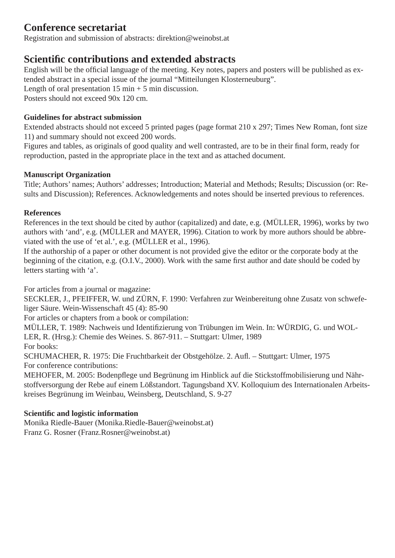## **Conference secretariat**

Registration and submission of abstracts: direktion@weinobst.at

## **Scientifi c contributions and extended abstracts**

English will be the official language of the meeting. Key notes, papers and posters will be published as extended abstract in a special issue of the journal "Mitteilungen Klosterneuburg".

Length of oral presentation  $15 \text{ min} + 5 \text{ min}$  discussion.

Posters should not exceed 90x 120 cm.

### **Guidelines for abstract submission**

Extended abstracts should not exceed 5 printed pages (page format 210 x 297; Times New Roman, font size 11) and summary should not exceed 200 words.

Figures and tables, as originals of good quality and well contrasted, are to be in their final form, ready for reproduction, pasted in the appropriate place in the text and as attached document.

### **Manuscript Organization**

Title; Authors' names; Authors' addresses; Introduction; Material and Methods; Results; Discussion (or: Results and Discussion); References. Acknowledgements and notes should be inserted previous to references.

### **References**

References in the text should be cited by author (capitalized) and date, e.g. (MÜLLER, 1996), works by two authors with 'and', e.g. (MÜLLER and MAYER, 1996). Citation to work by more authors should be abbreviated with the use of 'et al.', e.g. (MÜLLER et al., 1996).

If the authorship of a paper or other document is not provided give the editor or the corporate body at the beginning of the citation, e.g. (O.I.V., 2000). Work with the same first author and date should be coded by letters starting with 'a'.

For articles from a journal or magazine:

SECKLER, J., PFEIFFER, W. und ZÜRN, F. 1990: Verfahren zur Weinbereitung ohne Zusatz von schwefeliger Säure. Wein-Wissenschaft 45 (4): 85-90

For articles or chapters from a book or compilation:

MÜLLER, T. 1989: Nachweis und Identifizierung von Trübungen im Wein. In: WÜRDIG, G. und WOL-LER, R. (Hrsg.): Chemie des Weines. S. 867-911. – Stuttgart: Ulmer, 1989 For books:

SCHUMACHER, R. 1975: Die Fruchtbarkeit der Obstgehölze. 2. Aufl . – Stuttgart: Ulmer, 1975 For conference contributions:

MEHOFER, M. 2005: Bodenpflege und Begrünung im Hinblick auf die Stickstoffmobilisierung und Nährstoffversorgung der Rebe auf einem Lößstandort. Tagungsband XV. Kolloquium des Internationalen Arbeitskreises Begrünung im Weinbau, Weinsberg, Deutschland, S. 9-27

### **Scientifi c and logistic information**

Monika Riedle-Bauer (Monika.Riedle-Bauer@weinobst.at) Franz G. Rosner (Franz.Rosner@weinobst.at)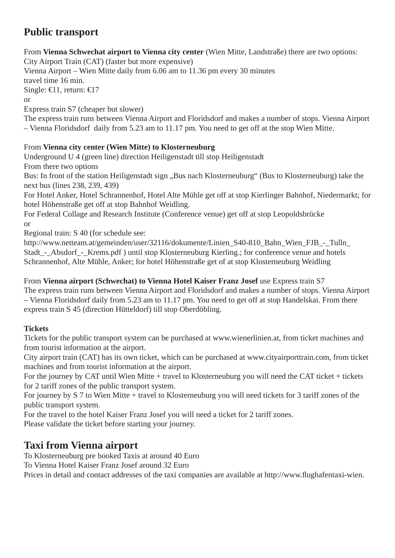## **Public transport**

From **Vienna Schwechat airport to Vienna city center** (Wien Mitte, Landstraße) there are two options:

City Airport Train (CAT) (faster but more expensive) Vienna Airport – Wien Mitte daily from 6.06 am to 11.36 pm every 30 minutes travel time 16 min. Single:  $\bigoplus$  1, return:  $\bigoplus$  7 or

Express train S7 (cheaper but slower)

The express train runs between Vienna Airport and Floridsdorf and makes a number of stops. Vienna Airport – Vienna Floridsdorf daily from 5.23 am to 11.17 pm. You need to get off at the stop Wien Mitte.

### From **Vienna city center (Wien Mitte) to Klosterneuburg**

Underground U 4 (green line) direction Heiligenstadt till stop Heiligenstadt

From there two options

Bus: In front of the station Heiligenstadt sign "Bus nach Klosterneuburg" (Bus to Klosterneuburg) take the next bus (lines 238, 239, 439)

For Hotel Anker, Hotel Schrannenhof, Hotel Alte Mühle get off at stop Kierlinger Bahnhof, Niedermarkt; for hotel Höhenstraße get off at stop Bahnhof Weidling.

For Federal Collage and Research Institute (Conference venue) get off at stop Leopoldsbrücke or

Regional train: S 40 (for schedule see:

http://www.netteam.at/gemeinden/user/32116/dokumente/Linien\_S40-810\_Bahn\_Wien\_FJB\_-\_Tulln Stadt - Absdorf - Krems.pdf ) until stop Klosterneuburg Kierling.; for conference venue and hotels Schrannenhof, Alte Mühle, Anker; for hotel Höhenstraße get of at stop Klosterneuburg Weidling

#### From **Vienna airport (Schwechat) to Vienna Hotel Kaiser Franz Josef** use Express train S7 The express train runs between Vienna Airport and Floridsdorf and makes a number of stops. Vienna Airport – Vienna Floridsdorf daily from 5.23 am to 11.17 pm. You need to get off at stop Handelskai. From there express train S 45 (direction Hütteldorf) till stop Oberdöbling.

### **Tickets**

Tickets for the public transport system can be purchased at www.wienerlinien.at, from ticket machines and from tourist information at the airport.

City airport train (CAT) has its own ticket, which can be purchased at www.cityairporttrain.com, from ticket machines and from tourist information at the airport.

For the journey by CAT until Wien Mitte + travel to Klosterneuburg you will need the CAT ticket + tickets for 2 tariff zones of the public transport system.

For journey by S 7 to Wien Mitte + travel to Klosterneuburg you will need tickets for 3 tariff zones of the public transport system.

For the travel to the hotel Kaiser Franz Josef you will need a ticket for 2 tariff zones.

Please validate the ticket before starting your journey.

## **Taxi from Vienna airport**

To Klosterneuburg pre booked Taxis at around 40 Euro

To Vienna Hotel Kaiser Franz Josef around 32 Euro

Prices in detail and contact addresses of the taxi companies are available at http://www.flughafentaxi-wien.